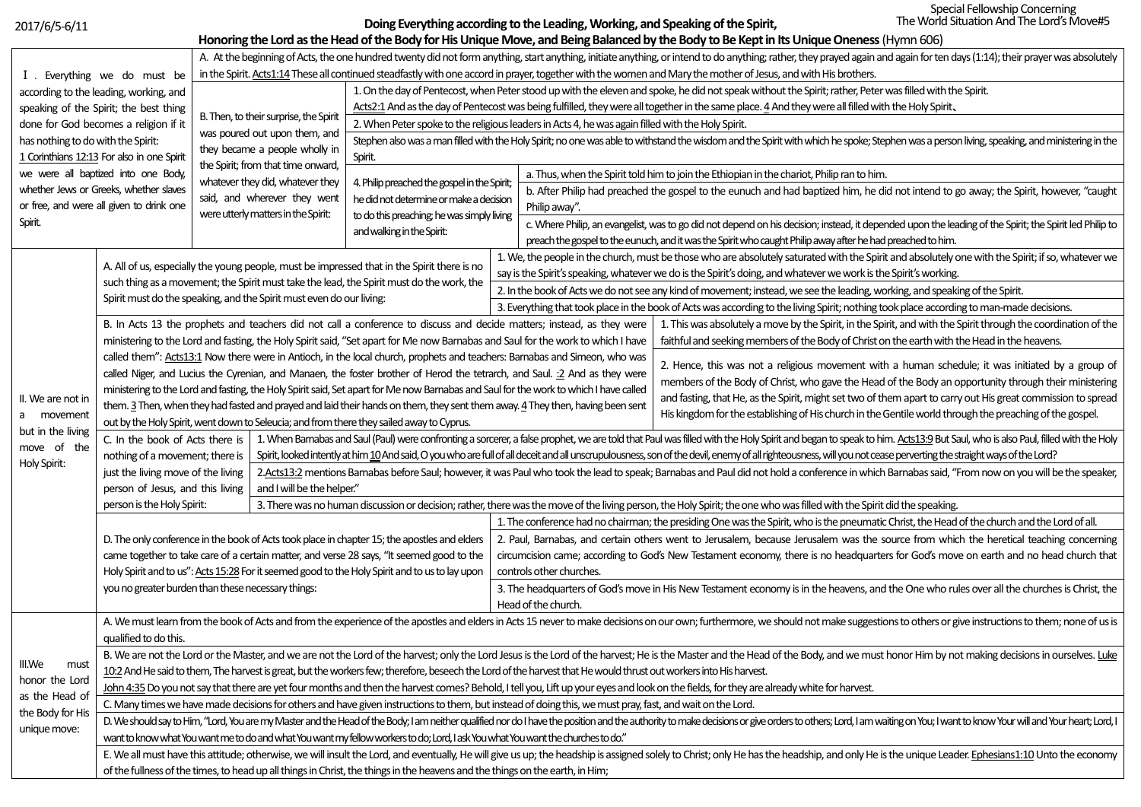2017/6/5-6/11

**Doing Everything according to the Leading, Working, and Speaking of the Spirit,**

| Honoring the Lord as the Head of the Body for His Unique Move, and Being Balanced by the Body to Be Kept in Its Unique Oneness (Hymn 606) |                                                                                                                                                                                                                                |                                                                                                                                                                                                                                                            |                            |                                                                                                                                                                                                                                                |                                                                                                                                                                                                                                  |                                                                                                                                                                                                                                |  |  |  |  |
|-------------------------------------------------------------------------------------------------------------------------------------------|--------------------------------------------------------------------------------------------------------------------------------------------------------------------------------------------------------------------------------|------------------------------------------------------------------------------------------------------------------------------------------------------------------------------------------------------------------------------------------------------------|----------------------------|------------------------------------------------------------------------------------------------------------------------------------------------------------------------------------------------------------------------------------------------|----------------------------------------------------------------------------------------------------------------------------------------------------------------------------------------------------------------------------------|--------------------------------------------------------------------------------------------------------------------------------------------------------------------------------------------------------------------------------|--|--|--|--|
|                                                                                                                                           |                                                                                                                                                                                                                                | A. At the beginning of Acts, the one hundred twenty did not form anything, start anything, initiate anything, or intend to do anything; rather, they prayed again and again for ten days (1:14); their prayer was absolutely                               |                            |                                                                                                                                                                                                                                                |                                                                                                                                                                                                                                  |                                                                                                                                                                                                                                |  |  |  |  |
|                                                                                                                                           | I . Everything we do must be                                                                                                                                                                                                   | in the Spirit. Acts1:14 These all continued steadfastly with one accord in prayer, together with the women and Mary the mother of Jesus, and with His brothers.                                                                                            |                            |                                                                                                                                                                                                                                                |                                                                                                                                                                                                                                  |                                                                                                                                                                                                                                |  |  |  |  |
|                                                                                                                                           | according to the leading, working, and                                                                                                                                                                                         |                                                                                                                                                                                                                                                            |                            | 1. On the day of Pentecost, when Peter stood up with the eleven and spoke, he did not speak without the Spirit; rather, Peter was filled with the Spirit.                                                                                      |                                                                                                                                                                                                                                  |                                                                                                                                                                                                                                |  |  |  |  |
|                                                                                                                                           | speaking of the Spirit; the best thing                                                                                                                                                                                         |                                                                                                                                                                                                                                                            |                            | Acts2:1 And as the day of Pentecost was being fulfilled, they were all together in the same place. 4 And they were all filled with the Holy Spirit,                                                                                            |                                                                                                                                                                                                                                  |                                                                                                                                                                                                                                |  |  |  |  |
| done for God becomes a religion if it                                                                                                     |                                                                                                                                                                                                                                | B. Then, to their surprise, the Spirit<br>was poured out upon them, and<br>they became a people wholly in<br>the Spirit; from that time onward,<br>whatever they did, whatever they<br>said, and wherever they went<br>were utterly matters in the Spirit: |                            | 2. When Peter spoke to the religious leaders in Acts 4, he was again filled with the Holy Spirit.                                                                                                                                              |                                                                                                                                                                                                                                  |                                                                                                                                                                                                                                |  |  |  |  |
| has nothing to do with the Spirit:                                                                                                        |                                                                                                                                                                                                                                |                                                                                                                                                                                                                                                            |                            | Stephen also was a man filled with the Holy Spirit; no one was able to withstand the wisdom and the Spirit with which he spoke; Stephen was a person living, speaking, and ministering in the                                                  |                                                                                                                                                                                                                                  |                                                                                                                                                                                                                                |  |  |  |  |
| 1 Corinthians 12:13 For also in one Spirit                                                                                                |                                                                                                                                                                                                                                |                                                                                                                                                                                                                                                            |                            | Spirit.                                                                                                                                                                                                                                        |                                                                                                                                                                                                                                  |                                                                                                                                                                                                                                |  |  |  |  |
| we were all baptized into one Body,                                                                                                       |                                                                                                                                                                                                                                |                                                                                                                                                                                                                                                            |                            | 4. Philip preached the gospel in the Spirit;<br>he did not determine or make a decision<br>to do this preaching; he was simply living<br>and walking in the Spirit:                                                                            |                                                                                                                                                                                                                                  | a. Thus, when the Spirit told him to join the Ethiopian in the chariot, Philip ran to him.                                                                                                                                     |  |  |  |  |
| whether Jews or Greeks, whether slaves                                                                                                    |                                                                                                                                                                                                                                |                                                                                                                                                                                                                                                            |                            |                                                                                                                                                                                                                                                |                                                                                                                                                                                                                                  | b. After Philip had preached the gospel to the eunuch and had baptized him, he did not intend to go away; the Spirit, however, "caught                                                                                         |  |  |  |  |
| or free, and were all given to drink one                                                                                                  |                                                                                                                                                                                                                                |                                                                                                                                                                                                                                                            |                            |                                                                                                                                                                                                                                                |                                                                                                                                                                                                                                  | Philip away".                                                                                                                                                                                                                  |  |  |  |  |
| Spirit.                                                                                                                                   |                                                                                                                                                                                                                                |                                                                                                                                                                                                                                                            |                            |                                                                                                                                                                                                                                                |                                                                                                                                                                                                                                  | c. Where Philip, an evangelist, was to go did not depend on his decision; instead, it depended upon the leading of the Spirit; the Spirit led Philip to                                                                        |  |  |  |  |
|                                                                                                                                           |                                                                                                                                                                                                                                |                                                                                                                                                                                                                                                            |                            |                                                                                                                                                                                                                                                |                                                                                                                                                                                                                                  | preach the gospel to the eunuch, and it was the Spirit who caught Philip away after he had preached to him.                                                                                                                    |  |  |  |  |
|                                                                                                                                           |                                                                                                                                                                                                                                |                                                                                                                                                                                                                                                            |                            |                                                                                                                                                                                                                                                |                                                                                                                                                                                                                                  | 1. We, the people in the church, must be those who are absolutely saturated with the Spirit and absolutely one with the Spirit; if so, whatever we                                                                             |  |  |  |  |
|                                                                                                                                           | A. All of us, especially the young people, must be impressed that in the Spirit there is no                                                                                                                                    |                                                                                                                                                                                                                                                            |                            |                                                                                                                                                                                                                                                |                                                                                                                                                                                                                                  | say is the Spirit's speaking, whatever we do is the Spirit's doing, and whatever we work is the Spirit's working.                                                                                                              |  |  |  |  |
|                                                                                                                                           | such thing as a movement; the Spirit must take the lead, the Spirit must do the work, the                                                                                                                                      |                                                                                                                                                                                                                                                            |                            |                                                                                                                                                                                                                                                |                                                                                                                                                                                                                                  | 2. In the book of Acts we do not see any kind of movement; instead, we see the leading, working, and speaking of the Spirit.                                                                                                   |  |  |  |  |
|                                                                                                                                           | Spirit must do the speaking, and the Spirit must even do our living:                                                                                                                                                           |                                                                                                                                                                                                                                                            |                            |                                                                                                                                                                                                                                                |                                                                                                                                                                                                                                  | 3. Everything that took place in the book of Acts was according to the living Spirit; nothing took place according to man-made decisions.                                                                                      |  |  |  |  |
|                                                                                                                                           | B. In Acts 13 the prophets and teachers did not call a conference to discuss and decide matters; instead, as they were                                                                                                         |                                                                                                                                                                                                                                                            |                            |                                                                                                                                                                                                                                                |                                                                                                                                                                                                                                  | 1. This was absolutely a move by the Spirit, in the Spirit, and with the Spirit through the coordination of the                                                                                                                |  |  |  |  |
|                                                                                                                                           |                                                                                                                                                                                                                                |                                                                                                                                                                                                                                                            |                            | ministering to the Lord and fasting, the Holy Spirit said, "Set apart for Me now Barnabas and Saul for the work to which I have                                                                                                                |                                                                                                                                                                                                                                  | faithful and seeking members of the Body of Christ on the earth with the Head in the heavens.                                                                                                                                  |  |  |  |  |
|                                                                                                                                           |                                                                                                                                                                                                                                |                                                                                                                                                                                                                                                            |                            |                                                                                                                                                                                                                                                | called them": Acts13:1 Now there were in Antioch, in the local church, prophets and teachers: Barnabas and Simeon, who was                                                                                                       |                                                                                                                                                                                                                                |  |  |  |  |
|                                                                                                                                           |                                                                                                                                                                                                                                |                                                                                                                                                                                                                                                            |                            |                                                                                                                                                                                                                                                | 2. Hence, this was not a religious movement with a human schedule; it was initiated by a group of<br>called Niger, and Lucius the Cyrenian, and Manaen, the foster brother of Herod the tetrarch, and Saul. : 2 And as they were |                                                                                                                                                                                                                                |  |  |  |  |
|                                                                                                                                           |                                                                                                                                                                                                                                |                                                                                                                                                                                                                                                            |                            | members of the Body of Christ, who gave the Head of the Body an opportunity through their ministering<br>ministering to the Lord and fasting, the Holy Spirit said, Set apart for Me now Barnabas and Saul for the work to which I have called |                                                                                                                                                                                                                                  |                                                                                                                                                                                                                                |  |  |  |  |
| II. We are not in<br>a movement                                                                                                           | them. 3 Then, when they had fasted and prayed and laid their hands on them, they sent them away. 4 They then, having been sent                                                                                                 |                                                                                                                                                                                                                                                            |                            |                                                                                                                                                                                                                                                | and fasting, that He, as the Spirit, might set two of them apart to carry out His great commission to spread<br>His kingdom for the establishing of His church in the Gentile world through the preaching of the gospel.         |                                                                                                                                                                                                                                |  |  |  |  |
|                                                                                                                                           | out by the Holy Spirit, went down to Seleucia; and from there they sailed away to Cyprus.                                                                                                                                      |                                                                                                                                                                                                                                                            |                            |                                                                                                                                                                                                                                                |                                                                                                                                                                                                                                  |                                                                                                                                                                                                                                |  |  |  |  |
| but in the living                                                                                                                         |                                                                                                                                                                                                                                |                                                                                                                                                                                                                                                            |                            |                                                                                                                                                                                                                                                |                                                                                                                                                                                                                                  | C. In the book of Acts there is   1. When Bamabas and Saul (Paul) were confronting a sorcerer, a false prophet, we are told that Paul was filled with the Holy Spirit and began to speak to him. Acts13:9 But Saul, who is als |  |  |  |  |
| move of the                                                                                                                               | nothing of a movement; there is                                                                                                                                                                                                |                                                                                                                                                                                                                                                            |                            |                                                                                                                                                                                                                                                |                                                                                                                                                                                                                                  | Spirit, looked intently at him 10 And said, O you who are full of all deceit and all unscrupulousness, son of the devil, enemy of all righteousness, will you not cease perverting the straight ways of the Lord?              |  |  |  |  |
| Holy Spirit:                                                                                                                              | just the living move of the living                                                                                                                                                                                             |                                                                                                                                                                                                                                                            |                            |                                                                                                                                                                                                                                                | 2.Acts13:2 mentions Barnabas before Saul; however, it was Paul who took the lead to speak; Barnabas and Paul did not hold a conference in which Barnabas said, "From now on you will be the speaker,                             |                                                                                                                                                                                                                                |  |  |  |  |
|                                                                                                                                           | person of Jesus, and this living                                                                                                                                                                                               |                                                                                                                                                                                                                                                            | and I will be the helper." |                                                                                                                                                                                                                                                |                                                                                                                                                                                                                                  |                                                                                                                                                                                                                                |  |  |  |  |
|                                                                                                                                           | person is the Holy Spirit:                                                                                                                                                                                                     |                                                                                                                                                                                                                                                            |                            |                                                                                                                                                                                                                                                |                                                                                                                                                                                                                                  | 3. There was no human discussion or decision; rather, there was the move of the living person, the Holy Spirit; the one who was filled with the Spirit did the speaking.                                                       |  |  |  |  |
|                                                                                                                                           |                                                                                                                                                                                                                                |                                                                                                                                                                                                                                                            |                            |                                                                                                                                                                                                                                                |                                                                                                                                                                                                                                  | 1. The conference had no chairman; the presiding One was the Spirit, who is the pneumatic Christ, the Head of the church and the Lord of all.                                                                                  |  |  |  |  |
|                                                                                                                                           | D. The only conference in the book of Acts took place in chapter 15; the apostles and elders                                                                                                                                   |                                                                                                                                                                                                                                                            |                            |                                                                                                                                                                                                                                                |                                                                                                                                                                                                                                  | 2. Paul, Barnabas, and certain others went to Jerusalem, because Jerusalem was the source from which the heretical teaching concerning                                                                                         |  |  |  |  |
|                                                                                                                                           |                                                                                                                                                                                                                                |                                                                                                                                                                                                                                                            |                            | came together to take care of a certain matter, and verse 28 says, "It seemed good to the<br>circumcision came; according to God's New Testament economy, there is no headquarters for God's move on earth and no head church that             |                                                                                                                                                                                                                                  |                                                                                                                                                                                                                                |  |  |  |  |
|                                                                                                                                           |                                                                                                                                                                                                                                |                                                                                                                                                                                                                                                            |                            | Holy Spirit and to us": Acts 15:28 For it seemed good to the Holy Spirit and to us to lay upon                                                                                                                                                 |                                                                                                                                                                                                                                  | controls other churches.                                                                                                                                                                                                       |  |  |  |  |
|                                                                                                                                           | you no greater burden than these necessary things:                                                                                                                                                                             |                                                                                                                                                                                                                                                            |                            |                                                                                                                                                                                                                                                |                                                                                                                                                                                                                                  | 3. The headquarters of God's move in His New Testament economy is in the heavens, and the One who rules over all the churches is Christ, the                                                                                   |  |  |  |  |
|                                                                                                                                           |                                                                                                                                                                                                                                |                                                                                                                                                                                                                                                            |                            | Head of the church.                                                                                                                                                                                                                            |                                                                                                                                                                                                                                  |                                                                                                                                                                                                                                |  |  |  |  |
|                                                                                                                                           | A. We must learn from the book of Acts and from the experience of the apostles and elders in Acts 15 never to make decisions on our own; furthermore, we should not make suggestions to others or give instructions to them; n |                                                                                                                                                                                                                                                            |                            |                                                                                                                                                                                                                                                |                                                                                                                                                                                                                                  |                                                                                                                                                                                                                                |  |  |  |  |
|                                                                                                                                           | qualified to do this.                                                                                                                                                                                                          |                                                                                                                                                                                                                                                            |                            |                                                                                                                                                                                                                                                |                                                                                                                                                                                                                                  |                                                                                                                                                                                                                                |  |  |  |  |
| III.We<br>must                                                                                                                            | B. We are not the Lord or the Master, and we are not the Lord of the harvest; only the Lord Jesus is the Lord of the harvest; He is the Master and the Head of the Body, and we must honor Him by not making decisions in ours |                                                                                                                                                                                                                                                            |                            |                                                                                                                                                                                                                                                |                                                                                                                                                                                                                                  |                                                                                                                                                                                                                                |  |  |  |  |
| honor the Lord                                                                                                                            | 10:2 And He said to them, The harvest is great, but the workers few; therefore, beseech the Lord of the harvest that He would thrust out workers into His harvest.                                                             |                                                                                                                                                                                                                                                            |                            |                                                                                                                                                                                                                                                |                                                                                                                                                                                                                                  |                                                                                                                                                                                                                                |  |  |  |  |
| as the Head of                                                                                                                            | John 4:35 Do you not say that there are yet four months and then the harvest comes? Behold, I tell you, Lift up your eyes and look on the fields, for they are already white for harvest.                                      |                                                                                                                                                                                                                                                            |                            |                                                                                                                                                                                                                                                |                                                                                                                                                                                                                                  |                                                                                                                                                                                                                                |  |  |  |  |
| the Body for His                                                                                                                          | C. Many times we have made decisions for others and have given instructions to them, but instead of doing this, we must pray, fast, and wait on the Lord.                                                                      |                                                                                                                                                                                                                                                            |                            |                                                                                                                                                                                                                                                |                                                                                                                                                                                                                                  |                                                                                                                                                                                                                                |  |  |  |  |
| unique move:                                                                                                                              | D. We should say to Him, "Lord, You are my Master and the Head of the Body; I am neither qualified nor do I have the position and the authority to make decisions or give orders to others; Lord, I am waiting on You; I want  |                                                                                                                                                                                                                                                            |                            |                                                                                                                                                                                                                                                |                                                                                                                                                                                                                                  |                                                                                                                                                                                                                                |  |  |  |  |
|                                                                                                                                           |                                                                                                                                                                                                                                |                                                                                                                                                                                                                                                            |                            | want to know what You want me to do and what You want my fellow workers to do; Lord, I ask You what You want the churches to do."                                                                                                              |                                                                                                                                                                                                                                  |                                                                                                                                                                                                                                |  |  |  |  |
|                                                                                                                                           |                                                                                                                                                                                                                                |                                                                                                                                                                                                                                                            |                            |                                                                                                                                                                                                                                                |                                                                                                                                                                                                                                  | E. We all must have this attitude; otherwise, we will insult the Lord, and eventually, He will give us up; the headship is assigned solely to Christ; only He has the headship, and only He is the unique Leader. Ephesians1:1 |  |  |  |  |
|                                                                                                                                           | of the fullness of the times, to head up all things in Christ, the things in the heavens and the things on the earth, in Him;                                                                                                  |                                                                                                                                                                                                                                                            |                            |                                                                                                                                                                                                                                                |                                                                                                                                                                                                                                  |                                                                                                                                                                                                                                |  |  |  |  |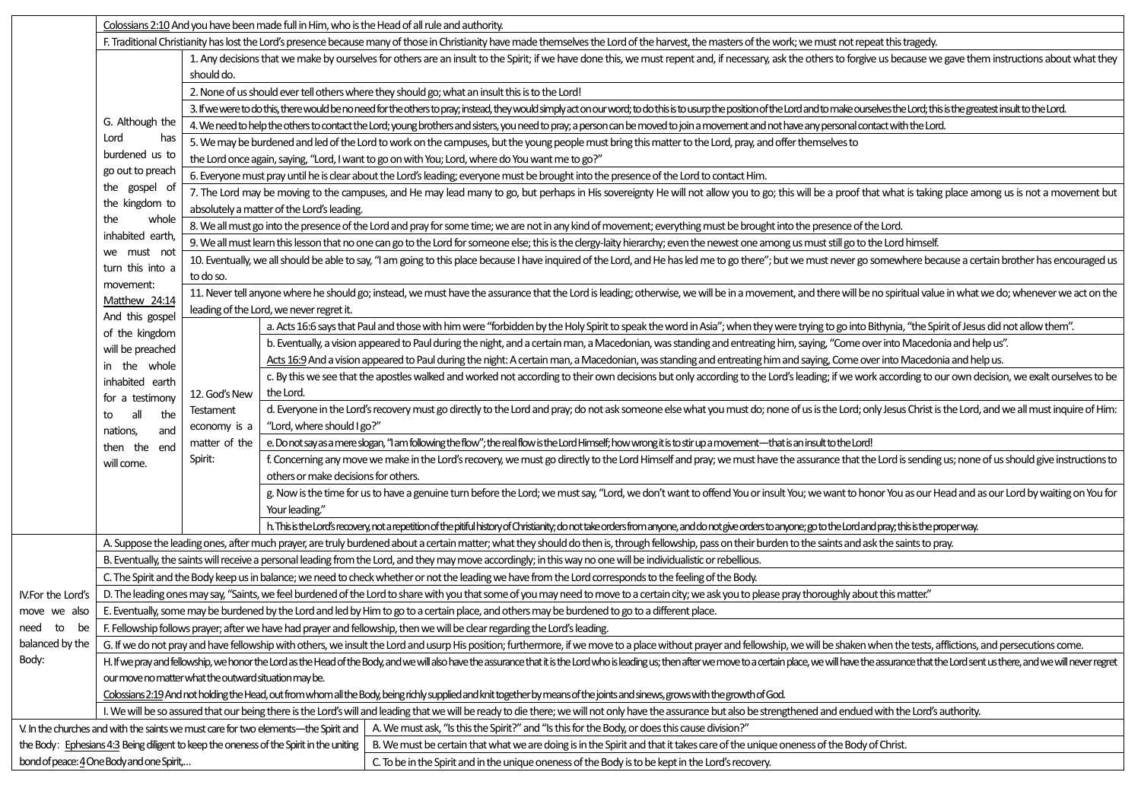|                                                                                                                                                                                                                     | Colossians 2:10 And you have been made full in Him, who is the Head of all rule and authority.                                                                                                                                          |                                                                                                                                                                                                                                         |                                                                                                                                                                                                                                                 |                                                                                                                                                                                                                                |  |  |  |  |  |
|---------------------------------------------------------------------------------------------------------------------------------------------------------------------------------------------------------------------|-----------------------------------------------------------------------------------------------------------------------------------------------------------------------------------------------------------------------------------------|-----------------------------------------------------------------------------------------------------------------------------------------------------------------------------------------------------------------------------------------|-------------------------------------------------------------------------------------------------------------------------------------------------------------------------------------------------------------------------------------------------|--------------------------------------------------------------------------------------------------------------------------------------------------------------------------------------------------------------------------------|--|--|--|--|--|
|                                                                                                                                                                                                                     | F. Traditional Christianity has lost the Lord's presence because many of those in Christianity have made themselves the Lord of the harvest, the masters of the work; we must not repeat this tragedy.                                  |                                                                                                                                                                                                                                         |                                                                                                                                                                                                                                                 |                                                                                                                                                                                                                                |  |  |  |  |  |
|                                                                                                                                                                                                                     |                                                                                                                                                                                                                                         | 1. Any decisions that we make by ourselves for others are an insult to the Spirit; if we have done this, we must repent and, if necessary, ask the others to forgive us because we gave them instructions about what they<br>should do. |                                                                                                                                                                                                                                                 |                                                                                                                                                                                                                                |  |  |  |  |  |
|                                                                                                                                                                                                                     |                                                                                                                                                                                                                                         | 2. None of us should ever tell others where they should go; what an insult this is to the Lord!                                                                                                                                         |                                                                                                                                                                                                                                                 |                                                                                                                                                                                                                                |  |  |  |  |  |
|                                                                                                                                                                                                                     | G. Although the                                                                                                                                                                                                                         | 3. If we were to do this, there would be no need for the others to pray, instead, they would simply act on our word; to do this is to usurp the position of the Lord and to make ourselves the Lord; this is the greatest insu          |                                                                                                                                                                                                                                                 |                                                                                                                                                                                                                                |  |  |  |  |  |
|                                                                                                                                                                                                                     |                                                                                                                                                                                                                                         | 4. We need to help the others to contact the Lord; young brothers and sisters, you need to pray; a person can be moved to join a movement and not have any personal contact with the Lord.                                              |                                                                                                                                                                                                                                                 |                                                                                                                                                                                                                                |  |  |  |  |  |
|                                                                                                                                                                                                                     | Lord<br>has                                                                                                                                                                                                                             | 5. We may be burdened and led of the Lord to work on the campuses, but the young people must bring this matter to the Lord, pray, and offer themselves to                                                                               |                                                                                                                                                                                                                                                 |                                                                                                                                                                                                                                |  |  |  |  |  |
|                                                                                                                                                                                                                     | burdened us to                                                                                                                                                                                                                          |                                                                                                                                                                                                                                         |                                                                                                                                                                                                                                                 | the Lord once again, saying, "Lord, I want to go on with You; Lord, where do You want me to go?"                                                                                                                               |  |  |  |  |  |
|                                                                                                                                                                                                                     | go out to preach                                                                                                                                                                                                                        | 6. Everyone must pray until he is clear about the Lord's leading; everyone must be brought into the presence of the Lord to contact Him.                                                                                                |                                                                                                                                                                                                                                                 |                                                                                                                                                                                                                                |  |  |  |  |  |
|                                                                                                                                                                                                                     | the gospel of<br>the kingdom to                                                                                                                                                                                                         | 7. The Lord may be moving to the campuses, and He may lead many to go, but perhaps in His sovereignty He will not allow you to go; this will be a proof that what is taking place among us is not a movement but                        |                                                                                                                                                                                                                                                 |                                                                                                                                                                                                                                |  |  |  |  |  |
|                                                                                                                                                                                                                     | whole<br>the                                                                                                                                                                                                                            | absolutely a matter of the Lord's leading.                                                                                                                                                                                              |                                                                                                                                                                                                                                                 |                                                                                                                                                                                                                                |  |  |  |  |  |
|                                                                                                                                                                                                                     | inhabited earth,                                                                                                                                                                                                                        | 8. We all must go into the presence of the Lord and pray for some time; we are not in any kind of movement; everything must be brought into the presence of the Lord.                                                                   |                                                                                                                                                                                                                                                 |                                                                                                                                                                                                                                |  |  |  |  |  |
|                                                                                                                                                                                                                     | we must not                                                                                                                                                                                                                             | 9. We all must learn this lesson that no one can go to the Lord for someone else; this is the clergy-laity hierarchy; even the newest one among us must still go to the Lord himself.                                                   |                                                                                                                                                                                                                                                 |                                                                                                                                                                                                                                |  |  |  |  |  |
|                                                                                                                                                                                                                     | turn this into a<br>movement:                                                                                                                                                                                                           | 10. Eventually, we all should be able to say, "I am going to this place because I have inquired of the Lord, and He has led me to go there"; but we must never go somewhere because a certain brother has encouraged us<br>to do so.    |                                                                                                                                                                                                                                                 |                                                                                                                                                                                                                                |  |  |  |  |  |
|                                                                                                                                                                                                                     | Matthew 24:14                                                                                                                                                                                                                           |                                                                                                                                                                                                                                         | leading of the Lord, we never regret it.                                                                                                                                                                                                        | 11. Never tell anyone where he should go; instead, we must have the assurance that the Lord is leading; otherwise, we will be in a movement, and there will be no spiritual value in what we do; whenever we act on the        |  |  |  |  |  |
|                                                                                                                                                                                                                     | And this gospel                                                                                                                                                                                                                         |                                                                                                                                                                                                                                         |                                                                                                                                                                                                                                                 | a. Acts 16:6 says that Paul and those with him were "forbidden by the Holy Spirit to speak the word in Asia"; when they were trying to go into Bithynia, "the Spirit of Jesus did not allow them".                             |  |  |  |  |  |
|                                                                                                                                                                                                                     | of the kingdom                                                                                                                                                                                                                          |                                                                                                                                                                                                                                         |                                                                                                                                                                                                                                                 | b. Eventually, a vision appeared to Paul during the night, and a certain man, a Macedonian, was standing and entreating him, saying, "Come over into Macedonia and help us".                                                   |  |  |  |  |  |
|                                                                                                                                                                                                                     | will be preached<br>in the whole                                                                                                                                                                                                        |                                                                                                                                                                                                                                         |                                                                                                                                                                                                                                                 | Acts 16:9 And a vision appeared to Paul during the night: A certain man, a Macedonian, was standing and entreating him and saying, Come over into Macedonia and help us.                                                       |  |  |  |  |  |
|                                                                                                                                                                                                                     | inhabited earth                                                                                                                                                                                                                         |                                                                                                                                                                                                                                         |                                                                                                                                                                                                                                                 | c. By this we see that the apostles walked and worked not according to their own decisions but only according to the Lord's leading; if we work according to our own decision, we exalt ourselves to be                        |  |  |  |  |  |
|                                                                                                                                                                                                                     | for a testimony                                                                                                                                                                                                                         | 12. God's New                                                                                                                                                                                                                           | the Lord.                                                                                                                                                                                                                                       |                                                                                                                                                                                                                                |  |  |  |  |  |
|                                                                                                                                                                                                                     | all<br>the<br>to                                                                                                                                                                                                                        | Testament<br>economy is a<br>matter of the<br>Spirit:                                                                                                                                                                                   | "Lord, where should I go?"                                                                                                                                                                                                                      | d. Everyone in the Lord's recovery must go directly to the Lord and pray; do not ask someone else what you must do; none of us is the Lord; only Jesus Christ is the Lord, and we all must inquire of Him:                     |  |  |  |  |  |
|                                                                                                                                                                                                                     | and<br>nations,<br>then the end                                                                                                                                                                                                         |                                                                                                                                                                                                                                         | e. Do not say as a mere slogan, "I am following the flow"; the real flow is the Lord Himself; how wrong it is to stir up a movement—that is an insult to the Lord!                                                                              |                                                                                                                                                                                                                                |  |  |  |  |  |
|                                                                                                                                                                                                                     | will come.                                                                                                                                                                                                                              |                                                                                                                                                                                                                                         | f. Concerning any move we make in the Lord's recovery, we must go directly to the Lord Himself and pray; we must have the assurance that the Lord is sending us; none of us should give instructions to<br>others or make decisions for others. |                                                                                                                                                                                                                                |  |  |  |  |  |
|                                                                                                                                                                                                                     |                                                                                                                                                                                                                                         |                                                                                                                                                                                                                                         | Your leading."                                                                                                                                                                                                                                  | g. Now is the time for us to have a genuine turn before the Lord; we must say, "Lord, we don't want to offend You or insult You; we want to honor You as our Head and as our Lord by waiting on You for                        |  |  |  |  |  |
|                                                                                                                                                                                                                     |                                                                                                                                                                                                                                         |                                                                                                                                                                                                                                         |                                                                                                                                                                                                                                                 | h. This is the Lord's recovery, not a repetition of the pitiful history of Christianity, do not take orders from anyone, and do not give orders to anyone; go to the Lord and pray, this is the proper way.                    |  |  |  |  |  |
|                                                                                                                                                                                                                     | A. Suppose the leading ones, after much prayer, are truly burdened about a certain matter; what they should do then is, through fellowship, pass on their burden to the saints and ask the saints to pray.                              |                                                                                                                                                                                                                                         |                                                                                                                                                                                                                                                 |                                                                                                                                                                                                                                |  |  |  |  |  |
|                                                                                                                                                                                                                     |                                                                                                                                                                                                                                         |                                                                                                                                                                                                                                         |                                                                                                                                                                                                                                                 | B. Eventually, the saints will receive a personal leading from the Lord, and they may move accordingly; in this way no one will be individualistic or rebellious.                                                              |  |  |  |  |  |
|                                                                                                                                                                                                                     | C. The Spirit and the Body keep us in balance; we need to check whether or not the leading we have from the Lord corresponds to the feeling of the Body.                                                                                |                                                                                                                                                                                                                                         |                                                                                                                                                                                                                                                 |                                                                                                                                                                                                                                |  |  |  |  |  |
| IV.For the Lord's                                                                                                                                                                                                   |                                                                                                                                                                                                                                         |                                                                                                                                                                                                                                         |                                                                                                                                                                                                                                                 | D. The leading ones may say, "Saints, we feel burdened of the Lord to share with you that some of you may need to move to a certain city; we ask you to please pray thoroughly about this matter."                             |  |  |  |  |  |
| move we also                                                                                                                                                                                                        | E. Eventually, some may be burdened by the Lord and led by Him to go to a certain place, and others may be burdened to go to a different place.                                                                                         |                                                                                                                                                                                                                                         |                                                                                                                                                                                                                                                 |                                                                                                                                                                                                                                |  |  |  |  |  |
| need<br>to<br>be                                                                                                                                                                                                    |                                                                                                                                                                                                                                         | F. Fellowship follows prayer; after we have had prayer and fellowship, then we will be clear regarding the Lord's leading.                                                                                                              |                                                                                                                                                                                                                                                 |                                                                                                                                                                                                                                |  |  |  |  |  |
| balanced by the                                                                                                                                                                                                     |                                                                                                                                                                                                                                         |                                                                                                                                                                                                                                         |                                                                                                                                                                                                                                                 | G. If we do not pray and have fellowship with others, we insult the Lord and usurp His position; furthermore, if we move to a place without prayer and fellowship, we will be shaken when the tests, afflictions, and persecut |  |  |  |  |  |
| Body:                                                                                                                                                                                                               |                                                                                                                                                                                                                                         |                                                                                                                                                                                                                                         |                                                                                                                                                                                                                                                 | H. If we pray and fellowship, we honor the Lord as the Head of the Body, and we will also have the assurance that it is the Lord who is leading us; then after we move to a certain place, we will have the assurance that the |  |  |  |  |  |
|                                                                                                                                                                                                                     | our move no matter what the outward situation may be.<br>Colossians 2:19 And not holding the Head, out from whom all the Body, being richly supplied and knit together by means of the joints and sinews, grows with the growth of God. |                                                                                                                                                                                                                                         |                                                                                                                                                                                                                                                 |                                                                                                                                                                                                                                |  |  |  |  |  |
|                                                                                                                                                                                                                     |                                                                                                                                                                                                                                         |                                                                                                                                                                                                                                         |                                                                                                                                                                                                                                                 |                                                                                                                                                                                                                                |  |  |  |  |  |
| I. We will be so assured that our being there is the Lord's will and leading that we will be ready to die there; we will not only have the assurance but also be strengthened and endued with the Lord's authority. |                                                                                                                                                                                                                                         |                                                                                                                                                                                                                                         |                                                                                                                                                                                                                                                 |                                                                                                                                                                                                                                |  |  |  |  |  |
|                                                                                                                                                                                                                     | A. We must ask, "Is this the Spirit?" and "Is this for the Body, or does this cause division?"<br>V. In the churches and with the saints we must care for two elements—the Spirit and                                                   |                                                                                                                                                                                                                                         |                                                                                                                                                                                                                                                 |                                                                                                                                                                                                                                |  |  |  |  |  |
|                                                                                                                                                                                                                     | B. We must be certain that what we are doing is in the Spirit and that it takes care of the unique oneness of the Body of Christ.<br>the Body: Ephesians 4:3 Being diligent to keep the oneness of the Spirit in the uniting            |                                                                                                                                                                                                                                         |                                                                                                                                                                                                                                                 |                                                                                                                                                                                                                                |  |  |  |  |  |
|                                                                                                                                                                                                                     | bond of peace: 4 One Body and one Spirit,<br>C. To be in the Spirit and in the unique oneness of the Body is to be kept in the Lord's recovery.                                                                                         |                                                                                                                                                                                                                                         |                                                                                                                                                                                                                                                 |                                                                                                                                                                                                                                |  |  |  |  |  |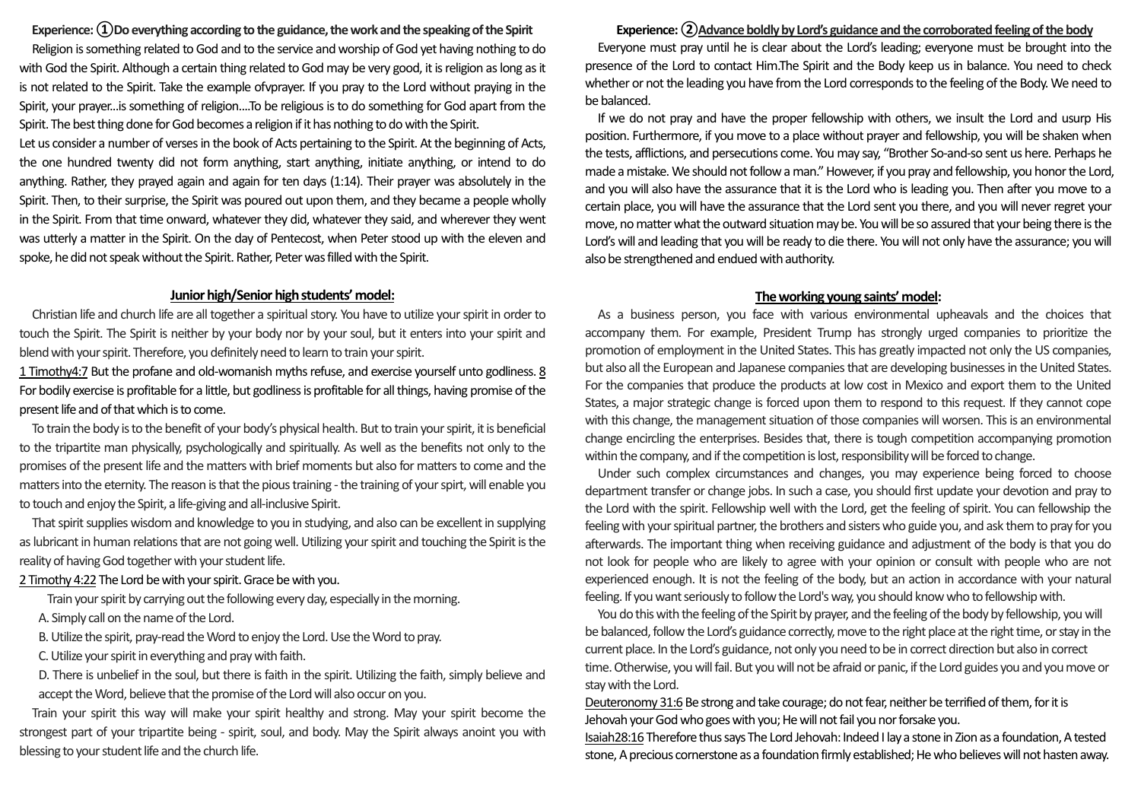# **Experience: ①Do everything according to the guidance, the work and the speaking of the Spirit**

Religion is something related to God and to the service and worship of God yet having nothing to do with God the Spirit. Although a certain thing related to God may be very good, it is religion as long as it is not related to the Spirit. Take the example ofvprayer. If you pray to the Lord without praying in the Spirit, your prayer...is something of religion....To be religious is to do something for God apart from the Spirit. The best thing done for God becomes a religion if it has nothing to do with the Spirit.

Let us consider a number of verses in the book of Acts pertaining to the Spirit. At the beginning of Acts, the one hundred twenty did not form anything, start anything, initiate anything, or intend to do anything. Rather, they prayed again and again for ten days (1:14). Their prayer was absolutely in the Spirit. Then, to their surprise, the Spirit was poured out upon them, and they became a people wholly in the Spirit. From that time onward, whatever they did, whatever they said, and wherever they went was utterly a matter in the Spirit. On the day of Pentecost, when Peter stood up with the eleven and spoke, he did not speak without the Spirit. Rather, Peter was filled with the Spirit.

## **Junior high/Senior high students' model:**

Christian life and church life are all together a spiritual story. You have to utilize your spirit in order to touch the Spirit. The Spirit is neither by your body nor by your soul, but it enters into your spirit and blend with your spirit. Therefore, you definitely need to learn to train your spirit.

1 Timothy4:7 But the profane and old-womanish myths refuse, and exercise yourself unto godliness. 8 For bodily exercise is profitable for a little, but godliness is profitable for all things, having promise of the present life and of that which is to come.

To train the body is to the benefit of your body's physical health. But to train your spirit, it is beneficial to the tripartite man physically, psychologically and spiritually. As well as the benefits not only to the promises of the present life and the matters with brief moments but also for matters to come and the matters into the eternity. The reason is that the pious training -the training of your spirt, will enable you to touch and enjoy the Spirit, a life-giving and all-inclusive Spirit.

That spirit supplies wisdom and knowledge to you in studying, and also can be excellent in supplying as lubricant in human relations that are not going well. Utilizing your spirit and touching the Spirit is the reality of having God together with your student life.

### 2 Timothy 4:22The Lord be with your spirit. Grace be with you.

Train your spirit by carrying out the following every day, especially in the morning.

- A. Simply call on the name of the Lord.
- B. Utilize the spirit, pray-read the Word to enjoy the Lord. Use the Word to pray.
- C. Utilize your spirit in everything and pray with faith.

D. There is unbelief in the soul, but there is faith in the spirit. Utilizing the faith, simply believe and accept the Word, believe that the promise of the Lord will also occur on you.

Train your spirit this way will make your spirit healthy and strong. May your spirit become the strongest part of your tripartite being - spirit, soul, and body. May the Spirit always anoint you with blessing to your student life and the church life.

### **Experience: ②Advance boldly by Lord's guidance and the corroborated feeling of the body**

Everyone must pray until he is clear about the Lord's leading; everyone must be brought into the presence of the Lord to contact Him.The Spirit and the Body keep us in balance. You need to check whether or not the leading you have from the Lord corresponds to the feeling of the Body. We need to be balanced.

If we do not pray and have the proper fellowship with others, we insult the Lord and usurp His position. Furthermore, if you move to a place without prayer and fellowship, you will be shaken when the tests, afflictions, and persecutions come. You may say, "Brother So-and-so sent us here. Perhaps he made a mistake. We should not follow a man." However, if you pray and fellowship, you honor the Lord, and you will also have the assurance that it is the Lord who is leading you. Then after you move to a certain place, you will have the assurance that the Lord sent you there, and you will never regret your move, no matter what the outward situation may be. Youwill be so assured that your being there is the Lord's will and leading that you will be ready to die there. You will not only have the assurance; you will also be strengthened and endued with authority.

#### **The working young saints' model:**

As a business person, you face with various environmental upheavals and the choices that accompany them. For example, President Trump has strongly urged companies to prioritize the promotion of employment in the United States. This has greatly impacted not only the US companies, but also all the European and Japanese companies that are developing businesses in the United States. For the companies that produce the products at low cost in Mexico and export them to the United States, a major strategic change is forced upon them to respond to this request. If they cannot cope with this change, the management situation of those companies will worsen. This is an environmental change encircling the enterprises. Besides that, there is tough competition accompanying promotion within the company, and if the competition is lost, responsibility will be forced to change.

Under such complex circumstances and changes, you may experience being forced to choose department transfer or change jobs. In such a case, you should first update your devotion and pray to the Lord with the spirit. Fellowship well with the Lord, get the feeling of spirit. You can fellowship the feeling with your spiritual partner, the brothers and sisters who guide you, and ask them to pray for you afterwards. The important thing when receiving guidance and adjustment of the body is that you do not look for people who are likely to agree with your opinion or consult with people who are not experienced enough. It is not the feeling of the body, but an action in accordance with your natural feeling. If you want seriously to follow the Lord's way, you should know who to fellowship with.

You dothis with the feeling of the Spirit by prayer, and the feeling of the body by fellowship, youwill be balanced, follow the Lord's guidance correctly, move to the right place at the right time, or stay in the current place. In the Lord's guidance, not only you need to be in correct direction but also in correct time. Otherwise, you will fail. But you will not be afraid or panic, if the Lord guides you and you move or stay with the Lord.

Deuteronomy 31:6 Be strong and take courage; do not fear, neither be terrified of them, for it is Jehovah your God who goes with you; He will not fail you nor forsake you.

Isaiah28:16 Therefore thus says The Lord Jehovah: Indeed I lay a stone in Zion as a foundation, Atested stone, A precious cornerstone as a foundation firmly established; He who believes will not hasten away.